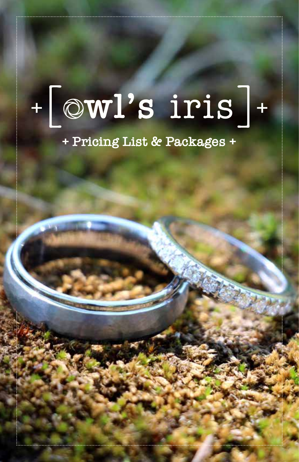# - [@wl's iris]-

## **+ Pricing List & Packages +**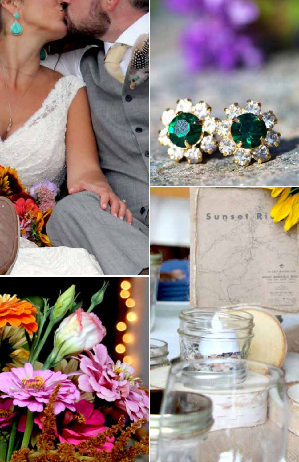





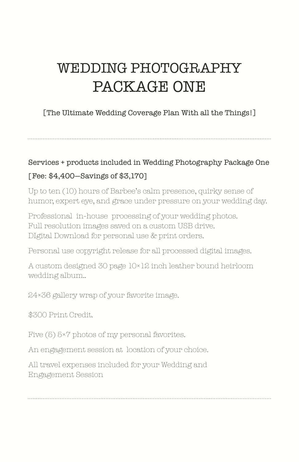## WEDDING PHOTOGRAPHY PACKAGE ONE

#### [The Ultimate Wedding Coverage Plan With all the Things!]

#### Services + products included in Wedding Photography Package One [Fee: \$4,400—Savings of \$3,170]

Up to ten (10) hours of Barbee's calm presence, quirky sense of humor, expert eye, and grace under pressure on your wedding day.

Professional in-house processing of your wedding photos. Full resolution images saved on a custom USB drive. DIgital Download for personal use & print orders.

Personal use copyright release for all processed digital images.

A custom designed 30 page 10×12 inch leather bound heirloom wedding album..

24×36 gallery wrap of your favorite image.

\$300 Print Credit.

Five (5) 5×7 photos of my personal favorites.

An engagement session at location of your choice.

All travel expenses included for your Wedding and Engagement Session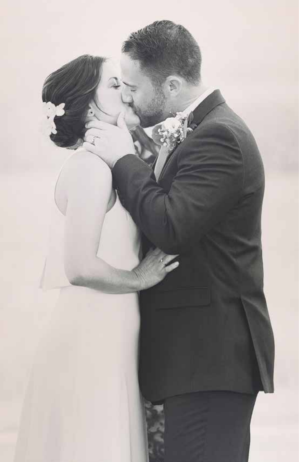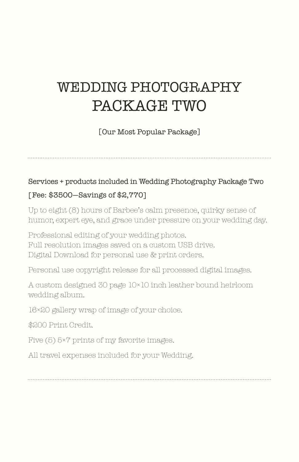## WEDDING PHOTOGRAPHY PACKAGE TWO

[Our Most Popular Package]

#### Services + products included in Wedding Photography Package Two [Fee: \$3500—Savings of \$2,770]

Up to eight (8) hours of Barbee's calm presence, quirky sense of humor, expert eye, and grace under pressure on your wedding day.

Professional editing of your wedding photos. Full resolution images saved on a custom USB drive. Digital Download for personal use & print orders.

Personal use copyright release for all processed digital images.

A custom designed 30 page 10×10 inch leather bound heirloom wedding album.

16×20 gallery wrap of image of your choice.

\$200 Print Credit.

Five (5) 5×7 prints of my favorite images.

All travel expenses included for your Wedding.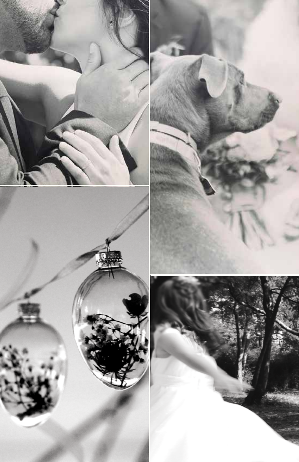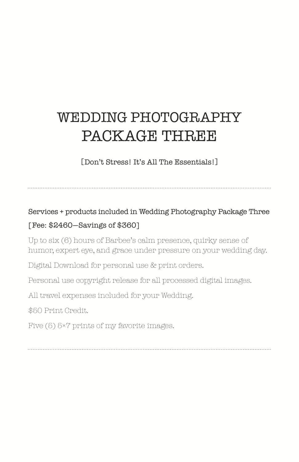## WEDDING PHOTOGRAPHY PACKAGE THREE

[Don't Stress! It's All The Essentials!]

#### Services + products included in Wedding Photography Package Three

#### [Fee: \$2460—Savings of \$360]

Up to six (6) hours of Barbee's calm presence, quirky sense of humor, expert eye, and grace under pressure on your wedding day.

Digital Download for personal use & print orders.

Personal use copyright release for all processed digital images.

All travel expenses included for your Wedding.

\$50 Print Credit.

Five (5) 5×7 prints of my favorite images.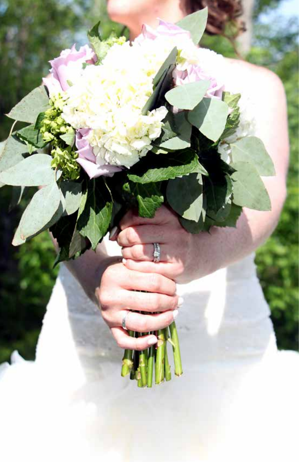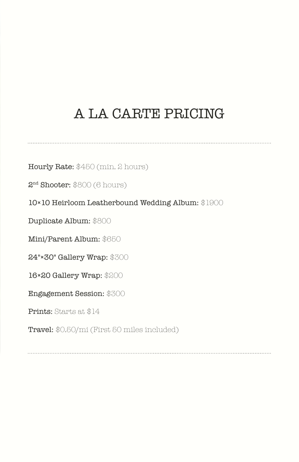#### A LA CARTE PRICING

Hourly Rate: \$450 (min. 2 hours)

2nd Shooter: \$800 (6 hours)

10×10 Heirloom Leatherbound Wedding Album: \$1900

Duplicate Album: \$800

Mini/Parent Album: \$650

24"×30" Gallery Wrap: \$300

16×20 Gallery Wrap: \$200

Engagement Session: \$300

Prints: Starts at \$14

Travel: \$0.50/mi (First 50 miles included)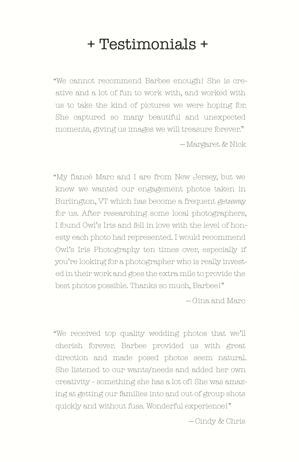#### + Testimonials +

"We cannot recommend Barbee enough! She is creative and a lot of fun to work with, and worked with us to take the kind of pictures we were hoping for. She captured so many beautiful and unexpected moments, giving us images we will treasure forever."

—Margaret & Nick

"My fiancé Marc and I are from New Jersey, but we knew we wanted our engagement photos taken in Burlington, VT which has become a frequent getaway for us. After researching some local photographers, I found Owl's Iris and fell in love with the level of honesty each photo had represented. I would recommend Owl's Iris Photography ten times over, especially if you're looking for a photographer who is really invested in their work and goes the extra mile to provide the best photos possible. Thanks so much, Barbee!"

—Gina and Marc

"We received top quality wedding photos that we'll cherish forever. Barbee provided us with great direction and made posed photos seem natural. She listened to our wants/needs and added her own creativity - something she has a lot of! She was amazing at getting our families into and out of group shots quickly and without fuss. Wonderful experience!"

—Cindy & Chris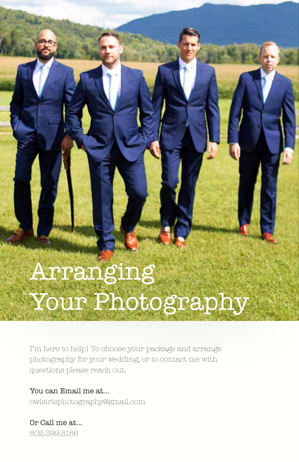## Arranging Your Photography

I'm here to help! To choose your package and arrange photography for your wedding, or to contact me with questions please reach out.

You can Email me at... owlsirisphotography@gmail.com

Or Call me at... 802.399.8186